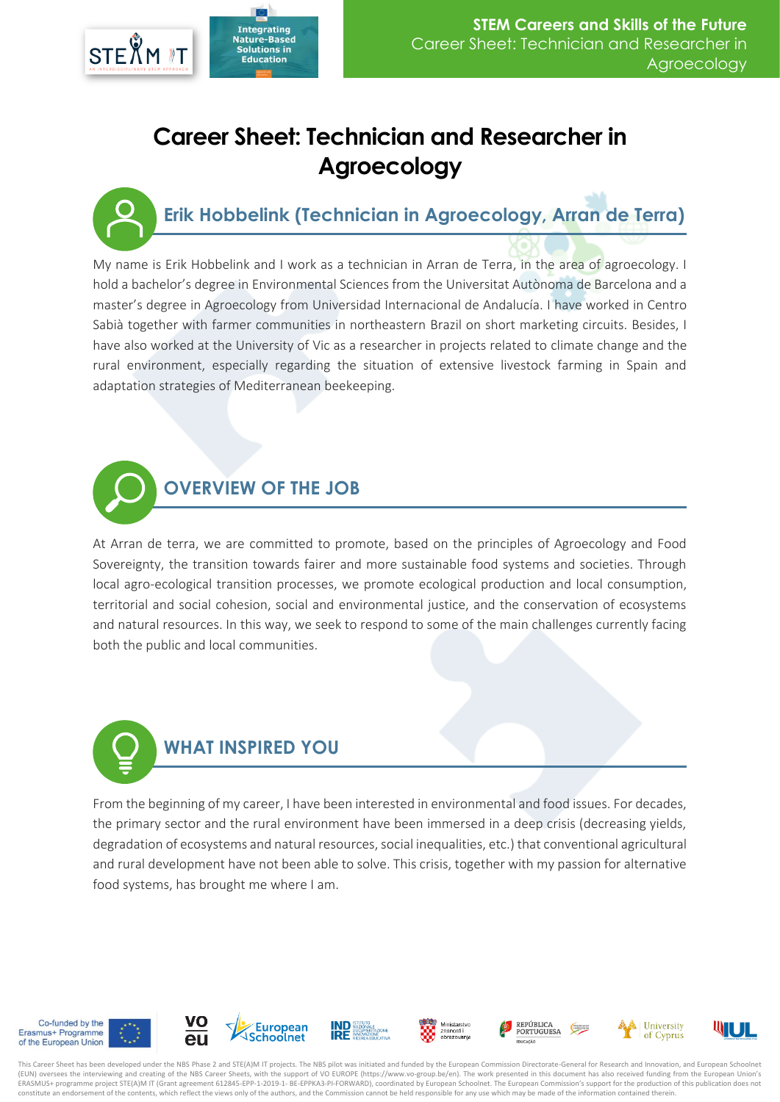

## **Career Sheet: Technician and Researcher in Agroecology**

**Erik Hobbelink (Technician in Agroecology, Arran de Terra)**

My name is Erik Hobbelink and I work as a technician in Arran de Terra, in the area of agroecology. I hold a bachelor's degree in Environmental Sciences from the Universitat Autònoma de Barcelona and a master's degree in Agroecology from Universidad Internacional de Andalucía. I have worked in Centro Sabià together with farmer communities in northeastern Brazil on short marketing circuits. Besides, I have also worked at the University of Vic as a researcher in projects related to climate change and the rural environment, especially regarding the situation of extensive livestock farming in Spain and adaptation strategies of Mediterranean beekeeping.



At Arran de terra, we are committed to promote, based on the principles of Agroecology and Food Sovereignty, the transition towards fairer and more sustainable food systems and societies. Through local agro-ecological transition processes, we promote ecological production and local consumption, territorial and social cohesion, social and environmental justice, and the conservation of ecosystems and natural resources. In this way, we seek to respond to some of the main challenges currently facing both the public and local communities.

## **WHAT INSPIRED YOU**

From the beginning of my career, I have been interested in environmental and food issues. For decades, the primary sector and the rural environment have been immersed in a deep crisis (decreasing yields, degradation of ecosystems and natural resources, social inequalities, etc.) that conventional agricultural and rural development have not been able to solve. This crisis, together with my passion for alternative food systems, has brought me where I am.

















This Career Sheet has been developed under the NBS Phase 2 and STE(A)M IT projects. The NBS pilot was initiated and funded by the European Commission Directorate-General for Research and Innovation, and European Schoolnet (EUN) oversees the interviewing and creating of the NBS Career Sheets, with the support of VO EUROPE (https://www.vo-group.be/en). The work presented in this document has also received funding from the European Union's ERASMUS+ programme project STE(A)M IT (Grant agreement 612845-EPP-1-2019-1- BE-EPPKA3-PI-FORWARD), coordinated by European Schoolnet. The European Commission's support for the production of this publication does not constitute an endorsement of the contents, which reflect the views only of the authors, and the Commission cannot be held responsible for any use which may be made of the information contained therein.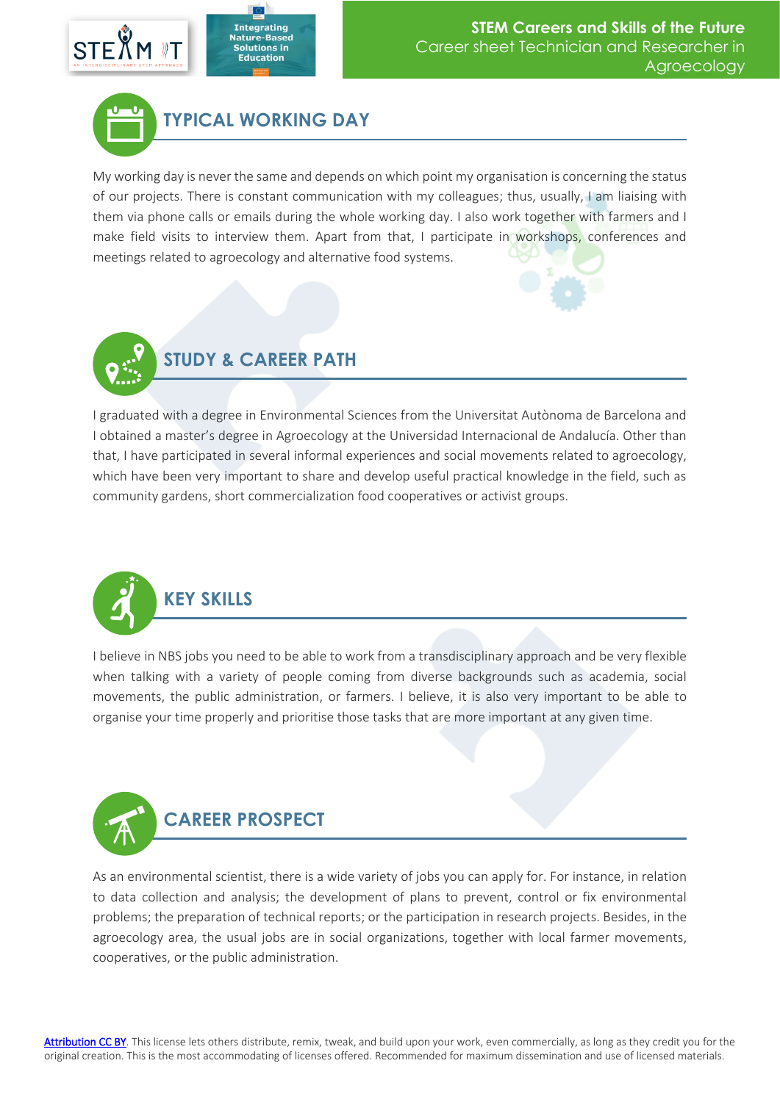





My working day is never the same and depends on which point my organisation is concerning the status of our projects. There is constant communication with my colleagues; thus, usually, I am liaising with them via phone calls or emails during the whole working day. I also work together with farmers and I make field visits to interview them. Apart from that, I participate in workshops, conferences and meetings related to agroecology and alternative food systems.



I graduated with a degree in Environmental Sciences from the Universitat Autònoma de Barcelona and I obtained a master's degree in Agroecology at the Universidad Internacional de Andalucía. Other than that, I have participated in several informal experiences and social movements related to agroecology, which have been very important to share and develop useful practical knowledge in the field, such as community gardens, short commercialization food cooperatives or activist groups.



I believe in NBS jobs you need to be able to work from a transdisciplinary approach and be very flexible when talking with a variety of people coming from diverse backgrounds such as academia, social movements, the public administration, or farmers. I believe, it is also very important to be able to organise your time properly and prioritise those tasks that are more important at any given time.



As an environmental scientist, there is a wide variety of jobs you can apply for. For instance, in relation to data collection and analysis; the development of plans to prevent, control or fix environmental problems; the preparation of technical reports; or the participation in research projects. Besides, in the agroecology area, the usual jobs are in social organizations, together with local farmer movements, cooperatives, or the public administration.